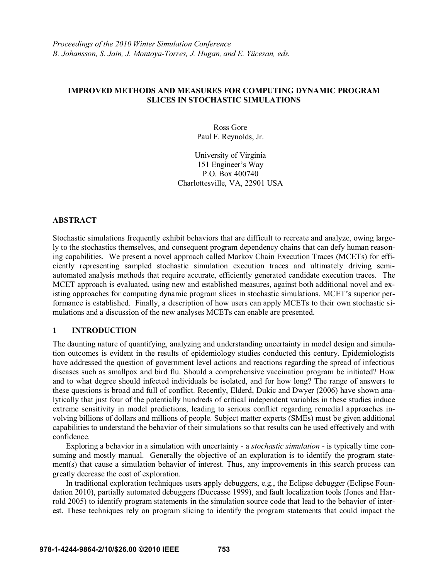# **IMPROVED METHODS AND MEASURES FOR COMPUTING DYNAMIC PROGRAM SLICES IN STOCHASTIC SIMULATIONS**

Ross Gore Paul F. Reynolds, Jr.

University of Virginia 151 Engineer's Way P.O. Box 400740 Charlottesville, VA, 22901 USA

### **ABSTRACT**

Stochastic simulations frequently exhibit behaviors that are difficult to recreate and analyze, owing largely to the stochastics themselves, and consequent program dependency chains that can defy human reasoning capabilities. We present a novel approach called Markov Chain Execution Traces (MCETs) for efficiently representing sampled stochastic simulation execution traces and ultimately driving semiautomated analysis methods that require accurate, efficiently generated candidate execution traces. The MCET approach is evaluated, using new and established measures, against both additional novel and existing approaches for computing dynamic program slices in stochastic simulations. MCET's superior performance is established. Finally, a description of how users can apply MCETs to their own stochastic simulations and a discussion of the new analyses MCETs can enable are presented.

# **1 INTRODUCTION**

The daunting nature of quantifying, analyzing and understanding uncertainty in model design and simulation outcomes is evident in the results of epidemiology studies conducted this century. Epidemiologists have addressed the question of government level actions and reactions regarding the spread of infectious diseases such as smallpox and bird flu. Should a comprehensive vaccination program be initiated? How and to what degree should infected individuals be isolated, and for how long? The range of answers to these questions is broad and full of conflict. Recently, Elderd, Dukic and Dwyer (2006) have shown analytically that just four of the potentially hundreds of critical independent variables in these studies induce extreme sensitivity in model predictions, leading to serious conflict regarding remedial approaches involving billions of dollars and millions of people. Subject matter experts (SMEs) must be given additional capabilities to understand the behavior of their simulations so that results can be used effectively and with confidence.

Exploring a behavior in a simulation with uncertainty - a *stochastic simulation* - is typically time consuming and mostly manual. Generally the objective of an exploration is to identify the program statement(s) that cause a simulation behavior of interest. Thus, any improvements in this search process can greatly decrease the cost of exploration.

In traditional exploration techniques users apply debuggers, e.g., the Eclipse debugger (Eclipse Foundation 2010), partially automated debuggers (Duccasse 1999), and fault localization tools (Jones and Harrold 2005) to identify program statements in the simulation source code that lead to the behavior of interest. These techniques rely on program slicing to identify the program statements that could impact the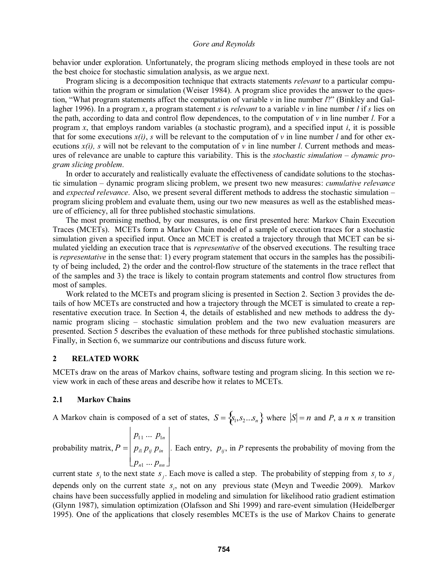behavior under exploration. Unfortunately, the program slicing methods employed in these tools are not the best choice for stochastic simulation analysis, as we argue next.

Program slicing is a decomposition technique that extracts statements *relevant* to a particular computation within the program or simulation (Weiser 1984). A program slice provides the answer to the question, "What program statements affect the computation of variable *v* in line number *l*?" (Binkley and Gallagher 1996). In a program *x*, a program statement *s* is *relevant* to a variable *v* in line number *l* if *s* lies on the path, according to data and control flow dependences, to the computation of  $\nu$  in line number *l*. For a program *x*, that employs random variables (a stochastic program), and a specified input *i*, it is possible that for some executions  $x(i)$ , *s* will be relevant to the computation of *v* in line number *l* and for other executions  $x(i)$ , *s* will not be relevant to the computation of *v* in line number *l*. Current methods and measures of relevance are unable to capture this variability. This is the *stochastic simulation – dynamic program slicing problem*.

In order to accurately and realistically evaluate the effectiveness of candidate solutions to the stochastic simulation dynamic program slicing problem, we present two new measures: *cumulative relevance* and *expected relevance*. Also, we present several different methods to address the stochastic simulation program slicing problem and evaluate them, using our two new measures as well as the established measure of efficiency, all for three published stochastic simulations.

The most promising method, by our measures, is one first presented here: Markov Chain Execution Traces (MCETs). MCETs form a Markov Chain model of a sample of execution traces for a stochastic simulation given a specified input. Once an MCET is created a trajectory through that MCET can be simulated yielding an execution trace that is *representative* of the observed executions. The resulting trace is *representative* in the sense that: 1) every program statement that occurs in the samples has the possibility of being included, 2) the order and the control-flow structure of the statements in the trace reflect that of the samples and 3) the trace is likely to contain program statements and control flow structures from most of samples.

Work related to the MCETs and program slicing is presented in Section 2. Section 3 provides the details of how MCETs are constructed and how a trajectory through the MCET is simulated to create a representative execution trace. In Section 4, the details of established and new methods to address the dynamic program slicing – stochastic simulation problem and the two new evaluation measurers are presented. Section 5 describes the evaluation of these methods for three published stochastic simulations. Finally, in Section 6, we summarize our contributions and discuss future work.

### **2 RELATED WORK**

MCETs draw on the areas of Markov chains, software testing and program slicing. In this section we review work in each of these areas and describe how it relates to MCETs.

### **2.1 Markov Chains**

A Markov chain is composed of a set of states,  $S = \{s_1, s_2...s_n\}$  where  $|S| = n$  and *P*, a *n* x *n* transition

probability matrix,  $P =$  $p_{11} \ldots p_{1n}$ *pi*<sup>1</sup> *pij pin*  $p_{n1} \dots p_{nn}$  $\overline{\phantom{a}}$  $\mid$   $\mid$  $\begin{bmatrix} I \\ I \end{bmatrix}$ ן  $\perp$  $\cdot$ *i*. Each entry,  $p_{ij}$ , in *P* represents the probability of moving from the

current state  $s_i$  to the next state  $s_j$ . Each move is called a step. The probability of stepping from  $s_i$  to  $s_j$ depends only on the current state  $s_i$ , not on any previous state (Meyn and Tweedie 2009). Markov chains have been successfully applied in modeling and simulation for likelihood ratio gradient estimation (Glynn 1987), simulation optimization (Olafsson and Shi 1999) and rare-event simulation (Heidelberger 1995). One of the applications that closely resembles MCETs is the use of Markov Chains to generate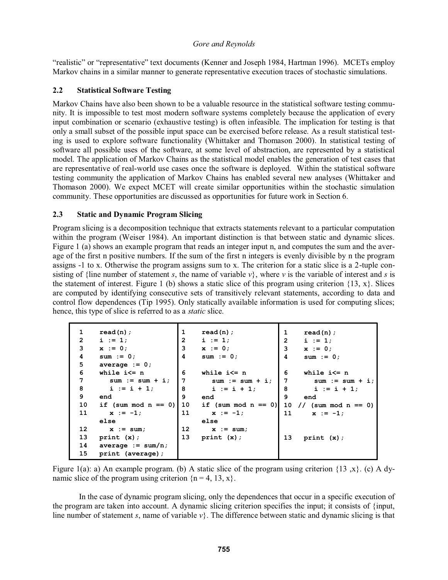"realistic" or "representative" text documents (Kenner and Joseph 1984, Hartman 1996). MCETs employ Markov chains in a similar manner to generate representative execution traces of stochastic simulations.

# **2.2 Statistical Software Testing**

Markov Chains have also been shown to be a valuable resource in the statistical software testing community. It is impossible to test most modern software systems completely because the application of every input combination or scenario (exhaustive testing) is often infeasible. The implication for testing is that only a small subset of the possible input space can be exercised before release. As a result statistical testing is used to explore software functionality (Whittaker and Thomason 2000). In statistical testing of software all possible uses of the software, at some level of abstraction, are represented by a statistical model. The application of Markov Chains as the statistical model enables the generation of test cases that are representative of real-world use cases once the software is deployed. Within the statistical software testing community the application of Markov Chains has enabled several new analyses (Whittaker and Thomason 2000). We expect MCET will create similar opportunities within the stochastic simulation community. These opportunities are discussed as opportunities for future work in Section 6.

# **2.3 Static and Dynamic Program Slicing**

Program slicing is a decomposition technique that extracts statements relevant to a particular computation within the program (Weiser 1984). An important distinction is that between static and dynamic slices. Figure 1 (a) shows an example program that reads an integer input n, and computes the sum and the average of the first n positive numbers. If the sum of the first n integers is evenly divisible by n the program assigns -1 to x. Otherwise the program assigns sum to x. The criterion for a static slice is a 2-tuple consisting of {line number of statement *s*, the name of variable  $v$ }, where *v* is the variable of interest and *s* is the statement of interest. Figure 1 (b) shows a static slice of this program using criterion  $\{13, x\}$ . Slices are computed by identifying consecutive sets of transitively relevant statements, according to data and control flow dependences (Tip 1995). Only statically available information is used for computing slices; hence, this type of slice is referred to as a *static* slice.

|                |                       | 1              |                       |                |                           |
|----------------|-----------------------|----------------|-----------------------|----------------|---------------------------|
|                | $read(n)$ ;           |                | $read(n)$ ;           | 1              | $read(n)$ ;               |
| $\overline{2}$ | $i := 1$ ;            | $\overline{2}$ | $i := 1;$             | $\overline{2}$ | $i := 1;$                 |
| 3              | $x := 0;$             | 3              | $x := 0;$             | 3              | $x := 0$ :                |
| 4              | $sum := 0$ ;          | 4              | $sum := 0$ ;          | 4              | $sum := 0$                |
| 5              | average $:= 0;$       |                |                       |                |                           |
| 6              | while $i \leq n$      | 6              | while i<= n           | 6              | while $i \leq n$          |
| 7              | $sum := sum + i;$     | 7              | $sum := sum + i;$     | 7              | $sum := sum + i;$         |
| 8              | $i := i + 1;$         | 8              | $i := i + 1;$         | 8              | $i := i + 1$ ;            |
| 9              | end                   | 9              | end                   | 9              | end                       |
| 10             | if $(sum mod n == 0)$ | 10             | if $(sum mod n == 0)$ |                | 10 // (sum mod $n == 0$ ) |
| 11             | $x := -1$ ;           | 11             | $x := -1$             | 11             | $x := -1$                 |
|                | else                  |                | else                  |                |                           |
| 12             | $x := sum;$           | 12             | $x := sum;$           |                |                           |
| 13             | print $(x)$ ;         | 13             | print $(x)$ ;         | 13             | print $(x)$ ;             |
| 14             | average $:=$ sum/n;   |                |                       |                |                           |
| 15             | print (average);      |                |                       |                |                           |

Figure 1(a): a) An example program. (b) A static slice of the program using criterion  $\{13 \text{ x}\}\text{.}$  (c) A dynamic slice of the program using criterion  $\{n = 4, 13, x\}$ .

In the case of dynamic program slicing, only the dependences that occur in a specific execution of the program are taken into account. A dynamic slicing criterion specifies the input; it consists of {input, line number of statement *s*, name of variable *v*}. The difference between static and dynamic slicing is that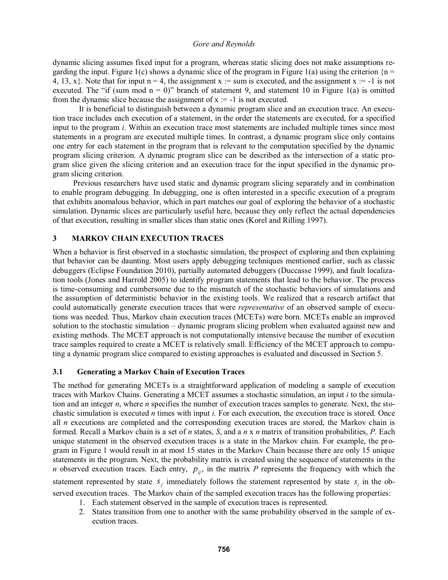dynamic slicing assumes fixed input for a program, whereas static slicing does not make assumptions regarding the input. Figure 1(c) shows a dynamic slice of the program in Figure 1(a) using the criterion  $\{n =$ 4, 13,  $x$ }. Note that for input n = 4, the assignment x := sum is executed, and the assignment x := -1 is not executed. The "if (sum mod  $n = 0$ )" branch of statement 9, and statement 10 in Figure 1(a) is omitted from the dynamic slice because the assignment of  $x := -1$  is not executed.

It is beneficial to distinguish between a dynamic program slice and an execution trace. An execution trace includes each execution of a statement, in the order the statements are executed, for a specified input to the program *i*. Within an execution trace most statements are included multiple times since most statements in a program are executed multiple times. In contrast, a dynamic program slice only contains one entry for each statement in the program that is relevant to the computation specified by the dynamic program slicing criterion. A dynamic program slice can be described as the intersection of a static program slice given the slicing criterion and an execution trace for the input specified in the dynamic program slicing criterion.

 Previous researchers have used static and dynamic program slicing separately and in combination to enable program debugging. In debugging, one is often interested in a specific execution of a program that exhibits anomalous behavior, which in part matches our goal of exploring the behavior of a stochastic simulation. Dynamic slices are particularly useful here, because they only reflect the actual dependencies of that execution, resulting in smaller slices than static ones (Korel and Rilling 1997).

# **3 MARKOV CHAIN EXECUTION TRACES**

When a behavior is first observed in a stochastic simulation, the prospect of exploring and then explaining that behavior can be daunting. Most users apply debugging techniques mentioned earlier, such as classic debuggers (Eclipse Foundation 2010), partially automated debuggers (Duccasse 1999), and fault localization tools (Jones and Harrold 2005) to identify program statements that lead to the behavior. The process is time-consuming and cumbersome due to the mismatch of the stochastic behaviors of simulations and the assumption of deterministic behavior in the existing tools. We realized that a research artifact that could automatically generate execution traces that were *representative* of an observed sample of executions was needed. Thus, Markov chain execution traces (MCETs) were born. MCETs enable an improved solution to the stochastic simulation – dynamic program slicing problem when evaluated against new and existing methods. The MCET approach is not computationally intensive because the number of execution trace samples required to create a MCET is relatively small. Efficiency of the MCET approach to computing a dynamic program slice compared to existing approaches is evaluated and discussed in Section 5.

# **3.1 Generating a Markov Chain of Execution Traces**

The method for generating MCETs is a straightforward application of modeling a sample of execution traces with Markov Chains. Generating a MCET assumes a stochastic simulation, an input *i* to the simulation and an integer *n*, where *n* specifies the number of execution traces samples to generate. Next, the stochastic simulation is executed *n* times with input *i.* For each execution, the execution trace is stored. Once all *n* executions are completed and the corresponding execution traces are stored, the Markov chain is formed. Recall a Markov chain is a set of *n* states, *S*, and a *n* x *n* matrix of transition probabilities, *P*. Each unique statement in the observed execution traces is a state in the Markov chain. For example, the program in Figure 1 would result in at most 15 states in the Markov Chain because there are only 15 unique statements in the program. Next, the probability matrix is created using the sequence of statements in the *n* observed execution traces. Each entry,  $p_{ij}$ , in the matrix *P* represents the frequency with which the statement represented by state  $s_j$  immediately follows the statement represented by state  $s_j$  in the ob-

served execution traces. The Markov chain of the sampled execution traces has the following properties:

- 1. Each statement observed in the sample of execution traces is represented.
- 2. States transition from one to another with the same probability observed in the sample of execution traces.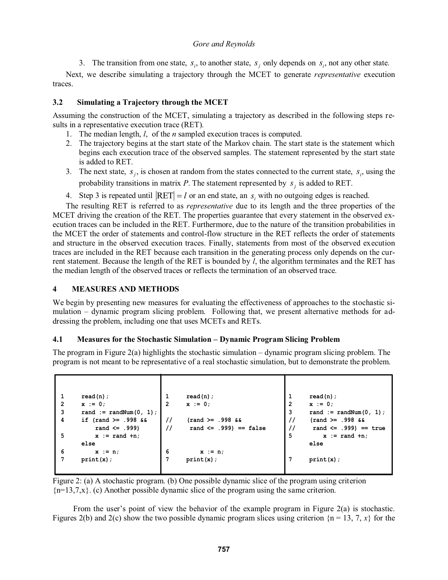3. The transition from one state,  $s_i$ , to another state,  $s_j$  only depends on  $s_i$ , not any other state.

 Next, we describe simulating a trajectory through the MCET to generate *representative* execution traces.

# **3.2 Simulating a Trajectory through the MCET**

Assuming the construction of the MCET, simulating a trajectory as described in the following steps results in a representative execution trace (RET).

- 1. The median length, *l*, of the *n* sampled execution traces is computed.
- 2. The trajectory begins at the start state of the Markov chain. The start state is the statement which begins each execution trace of the observed samples. The statement represented by the start state is added to RET.
- 3. The next state,  $s_j$ , is chosen at random from the states connected to the current state,  $s_j$ , using the probability transitions in matrix *P*. The statement represented by  $s_j$  is added to RET.
- 4. Step 3 is repeated until  $|RET| = l$  or an end state, an  $s_i$  with no outgoing edges is reached.

 The resulting RET is referred to as *representative* due to its length and the three properties of the MCET driving the creation of the RET. The properties guarantee that every statement in the observed execution traces can be included in the RET. Furthermore, due to the nature of the transition probabilities in the MCET the order of statements and control-flow structure in the RET reflects the order of statements and structure in the observed execution traces. Finally, statements from most of the observed execution traces are included in the RET because each transition in the generating process only depends on the current statement. Because the length of the RET is bounded by *l*, the algorithm terminates and the RET has the median length of the observed traces or reflects the termination of an observed trace.

# **4 MEASURES AND METHODS**

We begin by presenting new measures for evaluating the effectiveness of approaches to the stochastic simulation  $-$  dynamic program slicing problem. Following that, we present alternative methods for addressing the problem, including one that uses MCETs and RETs.

# **4.1 Measures for the Stochastic Simulation - Dynamic Program Slicing Problem**

The program in Figure  $2(a)$  highlights the stochastic simulation  $-\frac{1}{2}$  dynamic program slicing problem. The program is not meant to be representative of a real stochastic simulation, but to demonstrate the problem.

|                                  | read(n);                              |                | read(n);                   |                | $read(n)$ ;                         |
|----------------------------------|---------------------------------------|----------------|----------------------------|----------------|-------------------------------------|
| $\overline{2}$<br>$\overline{3}$ | $x := 0$<br>rand := $randNum(0, 1)$ ; | $\overline{2}$ | $x := 0;$                  | 2<br>3         | $x := 0;$<br>rand := randNum(0, 1); |
| 4                                | if $(rand >= .998 & g)$               |                | $(rand >= .998 %$          | $\prime\prime$ | $(rand >= .998 & g)$                |
|                                  | rand $\le$ .999)                      |                | rand $\leq$ .999) == false | $\prime\prime$ | rand $\leq$ .999) == true           |
| 5                                | $x := \text{rand } +n$ ;              |                |                            | 5              | $x := \text{rand } +n$ ;            |
|                                  | else                                  |                |                            |                | else                                |
| -6                               | $x := n$ ;                            | 6              | $x := n$ ;                 |                |                                     |
|                                  | $print(x)$ ;                          |                | print(x);                  | 7              | $print(x)$ ;                        |

Figure 2: (a) A stochastic program. (b) One possible dynamic slice of the program using criterion  ${n=13,7,x}$ . (c) Another possible dynamic slice of the program using the same criterion.

From the user's point of view the behavior of the example program in Figure  $2(a)$  is stochastic. Figures 2(b) and 2(c) show the two possible dynamic program slices using criterion  $\{n = 13, 7, x\}$  for the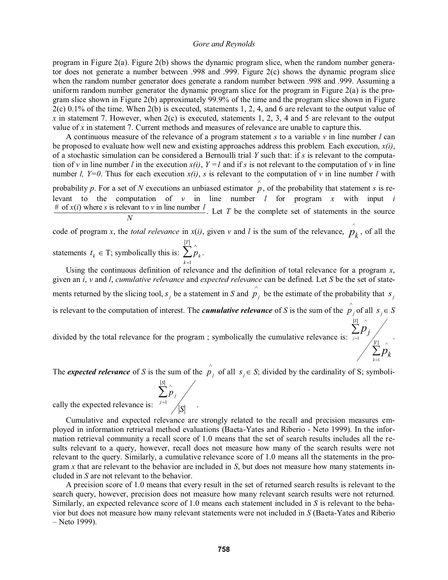program in Figure 2(a). Figure 2(b) shows the dynamic program slice, when the random number generator does not generate a number between .998 and .999. Figure 2(c) shows the dynamic program slice when the random number generator does generate a random number between .998 and .999. Assuming a uniform random number generator the dynamic program slice for the program in Figure 2(a) is the program slice shown in Figure 2(b) approximately 99.9% of the time and the program slice shown in Figure 2(c) 0.1% of the time. When 2(b) is executed, statements 1, 2, 4, and 6 are relevant to the output value of *x* in statement 7. However, when  $2(c)$  is executed, statements 1, 2, 3, 4 and 5 are relevant to the output value of *x* in statement 7. Current methods and measures of relevance are unable to capture this.

A continuous measure of the relevance of a program statement  $s$  to a variable  $v$  in line number  $l$  can be proposed to evaluate how well new and existing approaches address this problem. Each execution,  $x(i)$ , of a stochastic simulation can be considered a Bernoulli trial *Y* such that: if *s* is relevant to the computation of *v* in line number *l* in the execution  $x(i)$ ,  $Y = I$  and if *s* is not relevant to the computation of *v* in line number *l, Y=0*. Thus for each execution  $x(i)$ , *s* is relevant to the computation of *v* in line number *l* with probability *p*. For a set of *N* executions an unbiased estimator  $\hat{p}$ , of the probability that statement *s* is relevant to the computation of *v* in line number *l* for program *x* with input *i*  $\#$  of  $x(i)$  where *s* is relevant to *v* in line number *l*. Let *T* be the complete set of statements in the source *N*

code of program  $x$ , the *total relevance* in  $x(i)$ , given  $v$  and  $l$  is the sum of the relevance,  $\rho_k^{\hat{}}$ , of all the

statements  $t_k \in T$ ; symbolically this is:  $\sum_{k=1}^{\lvert T \rvert} \hat{p}$ *k*  $k=1$  $\sum_{k=1}^{|T|} p_k$ .

Using the continuous definition of relevance and the definition of total relevance for a program *x*, given an *i*, *v* and *l*, *cumulative relevance* and *expected relevance* can be defined. Let *S* be the set of statements returned by the slicing tool,  $s_j$  be a statement in *S* and  $\hat{p}_j$  be the estimate of the probability that  $s_j$ is relevant to the computation of interest. The *cumulative relevance* of *S* is the sum of the  $\hat{p}_i$  of all  $s_i \in S$  $\stackrel{\scriptscriptstyle\wedge}{p}_j$  $\sum$ 

divided by the total relevance for the program ; symbolically the cumulative relevance is:  $j = 1$ 

> *p j*  $j = 1$  $\sum$

 $\int$ *S* .

The *expected relevance* of *S* is the sum of the  $\hat{p}_i$  of all  $s_i \in S$ ; divided by the cardinality of S; symboli-

 $\sum_{k=1}^{|T|} \hat{p_k}$ 

.

cally the expected relevance is:

Cumulative and expected relevance are strongly related to the recall and precision measures employed in information retrieval method evaluations (Baeta-Yates and Riberio - Neto 1999). In the information retrieval community a recall score of 1.0 means that the set of search results includes all the results relevant to a query, however, recall does not measure how many of the search results were not relevant to the query. Similarly, a cumulative relevance score of 1.0 means all the statements in the program *x* that are relevant to the behavior are included in *S*, but does not measure how many statements included in *S* are not relevant to the behavior.

A precision score of 1.0 means that every result in the set of returned search results is relevant to the search query, however, precision does not measure how many relevant search results were not returned. Similarly, an expected relevance score of 1.0 means each statement included in *S* is relevant to the behavior but does not measure how many relevant statements were not included in *S* (Baeta-Yates and Riberio Neto 1999).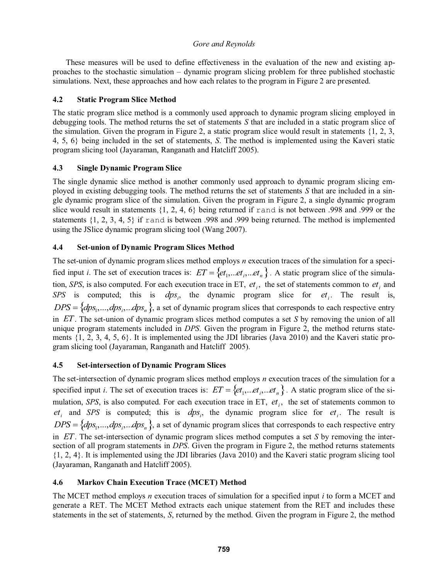These measures will be used to define effectiveness in the evaluation of the new and existing approaches to the stochastic simulation dynamic program slicing problem for three published stochastic simulations. Next, these approaches and how each relates to the program in Figure 2 are presented.

# **4.2 Static Program Slice Method**

The static program slice method is a commonly used approach to dynamic program slicing employed in debugging tools. The method returns the set of statements *S* that are included in a static program slice of the simulation. Given the program in Figure 2, a static program slice would result in statements  $\{1, 2, 3, \ldots\}$ 4, 5, 6} being included in the set of statements, *S*. The method is implemented using the Kaveri static program slicing tool (Jayaraman, Ranganath and Hatcliff 2005).

# **4.3 Single Dynamic Program Slice**

The single dynamic slice method is another commonly used approach to dynamic program slicing employed in existing debugging tools. The method returns the set of statements *S* that are included in a single dynamic program slice of the simulation. Given the program in Figure 2, a single dynamic program slice would result in statements {1, 2, 4, 6} being returned if rand is not between .998 and .999 or the statements {1, 2, 3, 4, 5} if rand is between .998 and .999 being returned. The method is implemented using the JSlice dynamic program slicing tool (Wang 2007).

# **4.4 Set-union of Dynamic Program Slices Method**

The set-union of dynamic program slices method employs *n* execution traces of the simulation for a specified input *i*. The set of execution traces is:  $ET = \{et_1, \ldots et_i, \ldots et_n\}$ . A static program slice of the simulation, *SPS*, is also computed. For each execution trace in ET,  $et_i$ , the set of statements common to  $et_i$  and *SPS* is computed; this is  $dps_i$ , the dynamic program slice for  $et_i$ . The result is,  $DPS = \{dps_1, ..., dps_i, ...dps_n\}$ , a set of dynamic program slices that corresponds to each respective entry in *ET*. The set-union of dynamic program slices method computes a set *S* by removing the union of all unique program statements included in *DPS*. Given the program in Figure 2, the method returns statements  $\{1, 2, 3, 4, 5, 6\}$ . It is implemented using the JDI libraries (Java 2010) and the Kaveri static program slicing tool (Jayaraman, Ranganath and Hatcliff 2005).

# **4.5 Set-intersection of Dynamic Program Slices**

The set-intersection of dynamic program slices method employs *n* execution traces of the simulation for a specified input *i*. The set of execution traces is:  $ET = \{et_1, ...et_i, ...et_n\}$ . A static program slice of the simulation, *SPS*, is also computed. For each execution trace in ET,  $et_i$ , the set of statements common to  $et_i$  and *SPS* is computed; this is  $dps_i$ , the dynamic program slice for  $et_i$ . The result is  $DPS = \{dps_1, ..., dps_i, ...dps_n\}$ , a set of dynamic program slices that corresponds to each respective entry in *ET*. The set-intersection of dynamic program slices method computes a set *S* by removing the intersection of all program statements in *DPS*. Given the program in Figure 2, the method returns statements {1, 2, 4}. It is implemented using the JDI libraries (Java 2010) and the Kaveri static program slicing tool (Jayaraman, Ranganath and Hatcliff 2005).

# **4.6 Markov Chain Execution Trace (MCET) Method**

The MCET method employs *n* execution traces of simulation for a specified input *i* to form a MCET and generate a RET. The MCET Method extracts each unique statement from the RET and includes these statements in the set of statements, *S*, returned by the method. Given the program in Figure 2, the method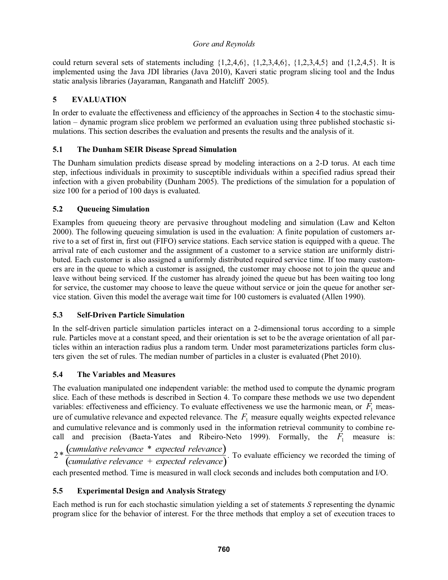could return several sets of statements including  $\{1,2,4,6\}$ ,  $\{1,2,3,4,6\}$ ,  $\{1,2,3,4,5\}$  and  $\{1,2,4,5\}$ . It is implemented using the Java JDI libraries (Java 2010), Kaveri static program slicing tool and the Indus static analysis libraries (Jayaraman, Ranganath and Hatcliff 2005).

# **5 EVALUATION**

In order to evaluate the effectiveness and efficiency of the approaches in Section 4 to the stochastic simulation – dynamic program slice problem we performed an evaluation using three published stochastic simulations. This section describes the evaluation and presents the results and the analysis of it.

# **5.1 The Dunham SEIR Disease Spread Simulation**

The Dunham simulation predicts disease spread by modeling interactions on a 2-D torus. At each time step, infectious individuals in proximity to susceptible individuals within a specified radius spread their infection with a given probability (Dunham 2005). The predictions of the simulation for a population of size 100 for a period of 100 days is evaluated.

# **5.2 Queueing Simulation**

Examples from queueing theory are pervasive throughout modeling and simulation (Law and Kelton 2000). The following queueing simulation is used in the evaluation: A finite population of customers arrive to a set of first in, first out (FIFO) service stations. Each service station is equipped with a queue. The arrival rate of each customer and the assignment of a customer to a service station are uniformly distributed. Each customer is also assigned a uniformly distributed required service time. If too many customers are in the queue to which a customer is assigned, the customer may choose not to join the queue and leave without being serviced. If the customer has already joined the queue but has been waiting too long for service, the customer may choose to leave the queue without service or join the queue for another service station. Given this model the average wait time for 100 customers is evaluated (Allen 1990).

# **5.3 Self-Driven Particle Simulation**

In the self-driven particle simulation particles interact on a 2-dimensional torus according to a simple rule. Particles move at a constant speed, and their orientation is set to be the average orientation of all particles within an interaction radius plus a random term. Under most parameterizations particles form clusters given the set of rules. The median number of particles in a cluster is evaluated (Phet 2010).

# **5.4 The Variables and Measures**

The evaluation manipulated one independent variable: the method used to compute the dynamic program slice. Each of these methods is described in Section 4. To compare these methods we use two dependent variables: effectiveness and efficiency. To evaluate effectiveness we use the harmonic mean, or  $F_1$  measure of cumulative relevance and expected relevance. The  $F_1$  measure equally weights expected relevance and cumulative relevance and is commonly used in the information retrieval community to combine recall and precision (Baeta-Yates and Ribeiro-Neto 1999). Formally, the  $\dot{F}_1$  measure is:

2\* *cumulative relevance* \* *expected relevance c*  $\overline{c}$   $\overline{c}$   $\overline{c}$   $\overline{c}$   $\overline{c}$   $\overline{c}$   $\overline{c}$   $\overline{c}$   $\overline{c}$   $\overline{c}$   $\overline{c}$   $\overline{c}$   $\overline{c}$   $\overline{c}$   $\overline{c}$   $\overline{c}$   $\overline{c}$   $\overline{c}$   $\overline{c}$   $\overline{c}$   $\overline{c}$   $\overline{c}$   $\overline{c}$   $\overline{c}$   $\$ 

each presented method. Time is measured in wall clock seconds and includes both computation and I/O.

# **5.5 Experimental Design and Analysis Strategy**

Each method is run for each stochastic simulation yielding a set of statements *S* representing the dynamic program slice for the behavior of interest. For the three methods that employ a set of execution traces to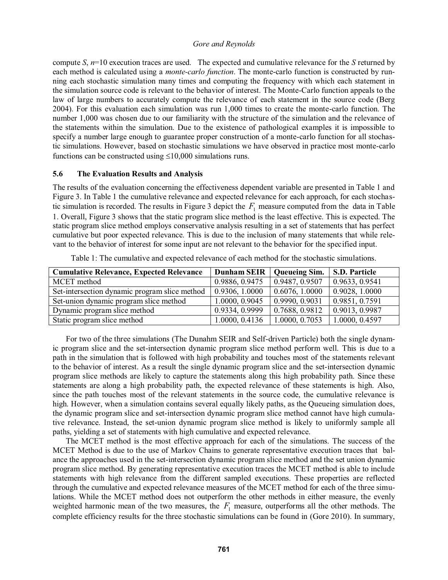compute *S*, *n*=10 execution traces are used. The expected and cumulative relevance for the *S* returned by each method is calculated using a *monte-carlo function*. The monte-carlo function is constructed by running each stochastic simulation many times and computing the frequency with which each statement in the simulation source code is relevant to the behavior of interest. The Monte-Carlo function appeals to the law of large numbers to accurately compute the relevance of each statement in the source code (Berg 2004). For this evaluation each simulation was run 1,000 times to create the monte-carlo function. The number 1,000 was chosen due to our familiarity with the structure of the simulation and the relevance of the statements within the simulation. Due to the existence of pathological examples it is impossible to specify a number large enough to guarantee proper construction of a monte-carlo function for all stochastic simulations. However, based on stochastic simulations we have observed in practice most monte-carlo functions can be constructed using  $\leq 10,000$  simulations runs.

### **5.6 The Evaluation Results and Analysis**

The results of the evaluation concerning the effectiveness dependent variable are presented in Table 1 and Figure 3. In Table 1 the cumulative relevance and expected relevance for each approach, for each stochastic simulation is recorded. The results in Figure 3 depict the  $F<sub>1</sub>$  measure computed from the data in Table 1. Overall, Figure 3 shows that the static program slice method is the least effective. This is expected. The static program slice method employs conservative analysis resulting in a set of statements that has perfect cumulative but poor expected relevance. This is due to the inclusion of many statements that while relevant to the behavior of interest for some input are not relevant to the behavior for the specified input.

| <b>Cumulative Relevance, Expected Relevance</b> | <b>Dunham SEIR</b> | <b>Queueing Sim.</b> | <b>S.D. Particle</b> |
|-------------------------------------------------|--------------------|----------------------|----------------------|
| MCET method                                     | 0.9886, 0.9475     | 0.9487, 0.9507       | 0.9633, 0.9541       |
| Set-intersection dynamic program slice method   | 0.9306, 1.0000     | 0.6076, 1.0000       | 0.9028, 1.0000       |
| Set-union dynamic program slice method          | 1.0000, 0.9045     | 0.9990, 0.9031       | 0.9851, 0.7591       |
| Dynamic program slice method                    | 0.9334, 0.9999     | 0.7688, 0.9812       | 0.9013, 0.9987       |
| Static program slice method                     | 1.0000, 0.4136     | 1.0000, 0.7053       | 1.0000, 0.4597       |

Table 1: The cumulative and expected relevance of each method for the stochastic simulations.

For two of the three simulations (The Dunahm SEIR and Self-driven Particle) both the single dynamic program slice and the set-intersection dynamic program slice method perform well. This is due to a path in the simulation that is followed with high probability and touches most of the statements relevant to the behavior of interest. As a result the single dynamic program slice and the set-intersection dynamic program slice methods are likely to capture the statements along this high probability path. Since these statements are along a high probability path, the expected relevance of these statements is high. Also, since the path touches most of the relevant statements in the source code, the cumulative relevance is high. However, when a simulation contains several equally likely paths, as the Queueing simulation does, the dynamic program slice and set-intersection dynamic program slice method cannot have high cumulative relevance. Instead, the set-union dynamic program slice method is likely to uniformly sample all paths, yielding a set of statements with high cumulative and expected relevance.

 The MCET method is the most effective approach for each of the simulations. The success of the MCET Method is due to the use of Markov Chains to generate representative execution traces that balance the approaches used in the set-intersection dynamic program slice method and the set union dynamic program slice method. By generating representative execution traces the MCET method is able to include statements with high relevance from the different sampled executions. These properties are reflected through the cumulative and expected relevance measures of the MCET method for each of the three simulations. While the MCET method does not outperform the other methods in either measure, the evenly weighted harmonic mean of the two measures, the  $F_1$  measure, outperforms all the other methods. The complete efficiency results for the three stochastic simulations can be found in (Gore 2010). In summary,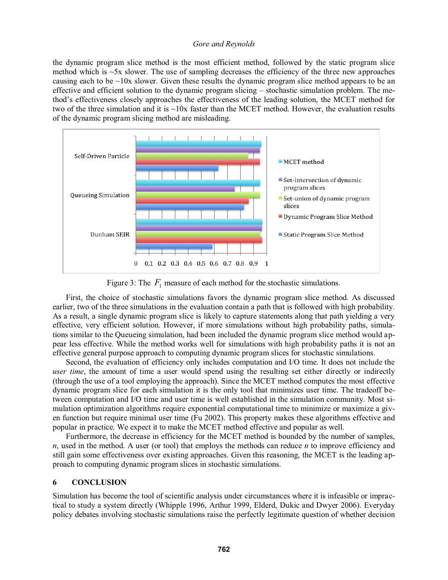the dynamic program slice method is the most efficient method, followed by the static program slice method which is  $\sim$ 5x slower. The use of sampling decreases the efficiency of the three new approaches causing each to be  $\sim$ 10x slower. Given these results the dynamic program slice method appears to be an effective and efficient solution to the dynamic program slicing  $-$  stochastic simulation problem. The method's effectiveness closely approaches the effectiveness of the leading solution, the MCET method for two of the three simulation and it is  $~10x$  faster than the MCET method. However, the evaluation results of the dynamic program slicing method are misleading.



Figure 3: The  $F_1$  measure of each method for the stochastic simulations.

First, the choice of stochastic simulations favors the dynamic program slice method. As discussed earlier, two of the three simulations in the evaluation contain a path that is followed with high probability. As a result, a single dynamic program slice is likely to capture statements along that path yielding a very effective, very efficient solution. However, if more simulations without high probability paths, simulations similar to the Queueing simulation, had been included the dynamic program slice method would appear less effective. While the method works well for simulations with high probability paths it is not an effective general purpose approach to computing dynamic program slices for stochastic simulations.

Second, the evaluation of efficiency only includes computation and I/O time. It does not include the *user time*, the amount of time a user would spend using the resulting set either directly or indirectly (through the use of a tool employing the approach). Since the MCET method computes the most effective dynamic program slice for each simulation it is the only tool that minimizes user time. The tradeoff between computation and I/O time and user time is well established in the simulation community. Most simulation optimization algorithms require exponential computational time to minimize or maximize a given function but require minimal user time (Fu 2002). This property makes these algorithms effective and popular in practice. We expect it to make the MCET method effective and popular as well.

Furthermore, the decrease in efficiency for the MCET method is bounded by the number of samples, *n*, used in the method. A user (or tool) that employs the methods can reduce *n* to improve efficiency and still gain some effectiveness over existing approaches. Given this reasoning, the MCET is the leading approach to computing dynamic program slices in stochastic simulations.

# **6 CONCLUSION**

Simulation has become the tool of scientific analysis under circumstances where it is infeasible or impractical to study a system directly (Whipple 1996, Arthur 1999, Elderd, Dukic and Dwyer 2006). Everyday policy debates involving stochastic simulations raise the perfectly legitimate question of whether decision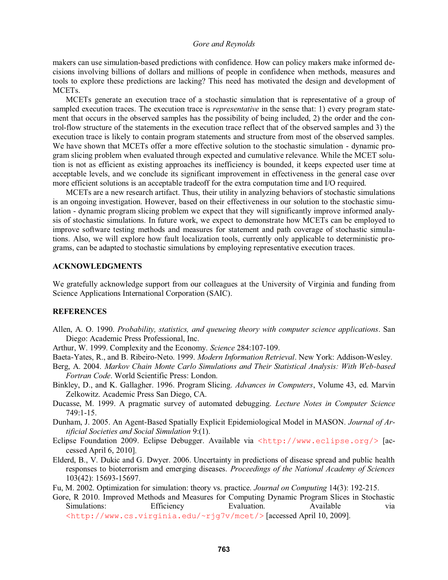makers can use simulation-based predictions with confidence. How can policy makers make informed decisions involving billions of dollars and millions of people in confidence when methods, measures and tools to explore these predictions are lacking? This need has motivated the design and development of MCETs.

 MCETs generate an execution trace of a stochastic simulation that is representative of a group of sampled execution traces. The execution trace is *representative* in the sense that: 1) every program statement that occurs in the observed samples has the possibility of being included, 2) the order and the control-flow structure of the statements in the execution trace reflect that of the observed samples and 3) the execution trace is likely to contain program statements and structure from most of the observed samples. We have shown that MCETs offer a more effective solution to the stochastic simulation - dynamic program slicing problem when evaluated through expected and cumulative relevance. While the MCET solution is not as efficient as existing approaches its inefficiency is bounded, it keeps expected user time at acceptable levels, and we conclude its significant improvement in effectiveness in the general case over more efficient solutions is an acceptable tradeoff for the extra computation time and I/O required.

 MCETs are a new research artifact. Thus, their utility in analyzing behaviors of stochastic simulations is an ongoing investigation. However, based on their effectiveness in our solution to the stochastic simulation - dynamic program slicing problem we expect that they will significantly improve informed analysis of stochastic simulations. In future work, we expect to demonstrate how MCETs can be employed to improve software testing methods and measures for statement and path coverage of stochastic simulations. Also, we will explore how fault localization tools, currently only applicable to deterministic programs, can be adapted to stochastic simulations by employing representative execution traces.

### **ACKNOWLEDGMENTS**

We gratefully acknowledge support from our colleagues at the University of Virginia and funding from Science Applications International Corporation (SAIC).

#### **REFERENCES**

- Allen, A. O. 1990. *Probability, statistics, and queueing theory with computer science applications*. San Diego: Academic Press Professional, Inc.
- Arthur, W. 1999. Complexity and the Economy. *Science* 284:107-109.
- Baeta-Yates, R., and B. Ribeiro-Neto. 1999. *Modern Information Retrieval*. New York: Addison-Wesley.
- Berg, A. 2004. *Markov Chain Monte Carlo Simulations and Their Statistical Analysis: With Web-based Fortran Code*. World Scientific Press: London.
- Binkley, D., and K. Gallagher. 1996. Program Slicing. *Advances in Computers*, Volume 43, ed. Marvin Zelkowitz. Academic Press San Diego, CA.
- Ducasse, M. 1999. A pragmatic survey of automated debugging. *Lecture Notes in Computer Science* 749:1-15.
- Dunham, J. 2005. An Agent-Based Spatially Explicit Epidemiological Model in MASON. *Journal of Artificial Societies and Social Simulation* 9:(1).
- Eclipse Foundation 2009. Eclipse Debugger. Available via  $\langle$ http://www.eclipse.org/> [accessed April 6, 2010].
- Elderd, B., V. Dukic and G. Dwyer. 2006. Uncertainty in predictions of disease spread and public health responses to bioterrorism and emerging diseases. *Proceedings of the National Academy of Sciences*  103(42): 15693-15697.
- Fu, M. 2002. Optimization for simulation: theory vs. practice. *Journal on Computing* 14(3): 192-215.
- Gore, R 2010. Improved Methods and Measures for Computing Dynamic Program Slices in Stochastic Simulations: Efficiency Evaluation. Available via <http://www.cs.virginia.edu/~rjg7v/mcet/> [accessed April 10, 2009].